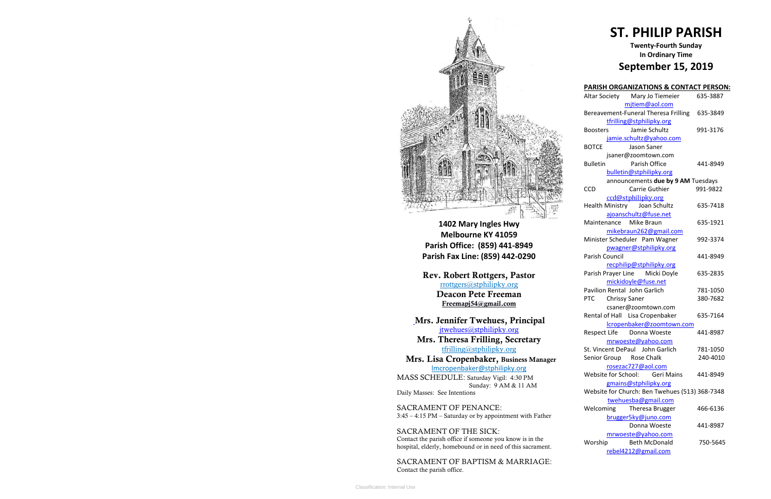

**1402 Mary Ingles Hwy Melbourne KY 41059 Parish Office: (859) 441-8949 Parish Fax Line: (859) 442-0290**

**Mrs. Theresa Frilling, Secretary**  [tfrilling@stphilipky.org](mailto:tfrilling@stphilipky.org)

**Rev. Robert Rottgers, Pastor**  [rrottgers@stphilipky.org](mailto:rrottgers@stphilipky.org) **Deacon Pete Freeman Freemapj54@gmail.com**

**Mrs. Jennifer Twehues, Principal** [jtwehues@stphilipky.org](mailto:jtwehues@stphilipky.org)

 **Mrs. Lisa Cropenbaker, Business Manager**  lmcropenbaker@stphilipky.org

MASS SCHEDULE: Saturday Vigil: 4:30 PM Sunday: 9 AM & 11 AM Daily Masses: See Intentions

SACRAMENT OF PENANCE: 3:45 – 4:15 PM – Saturday or by appointment with Father

SACRAMENT OF THE SICK: Contact the parish office if someone you know is in the hospital, elderly, homebound or in need of this sacrament.

SACRAMENT OF BAPTISM & MARRIAGE: Contact the parish office.

# **ST. PHILIP PARISH**

## **Twenty-Fourth Sunday In Ordinary Time September 15, 2019**

| <b>PARISH ORGANIZATIONS &amp; CONTACT PERSON:</b> |          |
|---------------------------------------------------|----------|
| Altar Society Mary Jo Tiemeier                    | 635-3887 |
| mjtiem@aol.com                                    |          |
| Bereavement-Funeral Theresa Frilling              | 635-3849 |
| tfrilling@stphilipky.org                          |          |
| Jamie Schultz<br>Boosters                         | 991-3176 |
| jamie.schultz@yahoo.com                           |          |
| <b>BOTCE</b><br>Jason Saner                       |          |
| jsaner@zoomtown.com                               |          |
| Parish Office<br><b>Bulletin</b>                  | 441-8949 |
| bulletin@stphilipky.org                           |          |
| announcements due by 9 AM Tuesdays                |          |
| CCD<br>Carrie Guthier                             | 991-9822 |
| ccd@stphilipky.org                                |          |
| Health Ministry Joan Schultz                      | 635-7418 |
| ajoanschultz@fuse.net                             |          |
| Maintenance Mike Braun                            | 635-1921 |
| mikebraun262@gmail.com                            |          |
| Minister Scheduler Pam Wagner                     | 992-3374 |
| pwagner@stphilipky.org                            |          |
| Parish Council                                    | 441-8949 |
| recphilip@stphilipky.org                          |          |
| Parish Prayer Line Micki Doyle                    | 635-2835 |
| mickidoyle@fuse.net                               |          |
| Pavilion Rental John Garlich                      | 781-1050 |
| <b>PTC</b><br><b>Chrissy Saner</b>                | 380-7682 |
| csaner@zoomtown.com                               |          |
| Rental of Hall Lisa Cropenbaker                   | 635-7164 |
| lcropenbaker@zoomtown.com                         |          |
| Respect Life Donna Woeste                         | 441-8987 |
| mrwoeste@yahoo.com                                |          |
| St. Vincent DePaul John Garlich                   | 781-1050 |
| Senior Group Rose Chalk                           | 240-4010 |
| rosezac727@aol.com                                |          |
| Website for School:<br><b>Geri Mains</b>          | 441-8949 |
| gmains@stphilipky.org                             |          |
| Website for Church: Ben Twehues (513) 368-7348    |          |
| twehuesba@gmail.com                               |          |
| Welcoming<br>Theresa Brugger                      | 466-6136 |
| brugger5ky@juno.com                               |          |
| Donna Woeste                                      | 441-8987 |
| mrwoeste@yahoo.com                                |          |
| <b>Beth McDonald</b><br>Worship                   | 750-5645 |
| rebel4212@gmail.com                               |          |
|                                                   |          |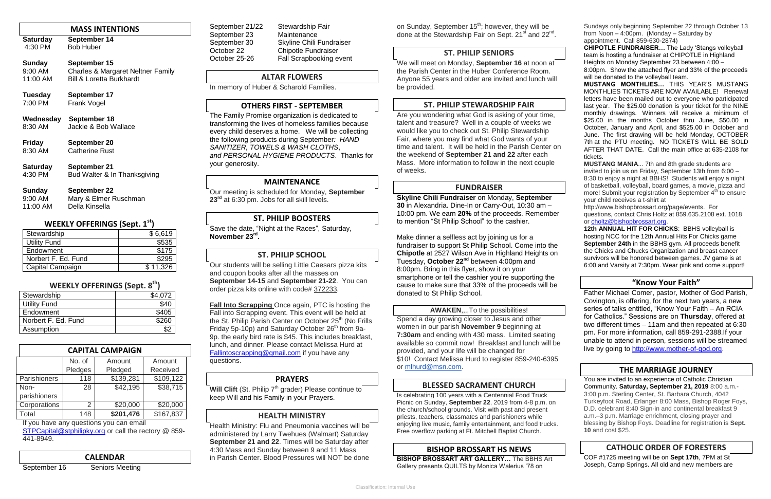#### **MASS INTENTIONS**

| <b>Saturday</b> | September 14     |
|-----------------|------------------|
| 4:30 PM         | <b>Bob Huber</b> |

#### **Sunday September 15**

| $9:00$ AM | <b>Charles &amp; Margaret Neltner Family</b> |
|-----------|----------------------------------------------|
| 11:00 AM  | Bill & Loretta Burkhardt                     |
|           |                                              |

| <b>Tuesday</b> | September 17 |
|----------------|--------------|
| 7:00 PM        | Frank Vogel  |

#### **Wednesday September 18** 8:30 AM Jackie & Bob Wallace

| <b>Friday</b> | September 20          |
|---------------|-----------------------|
| 8:30 AM       | <b>Catherine Rust</b> |
|               |                       |

#### **Saturday September 21** 4:30 PM Bud Walter & In Thanksgiving

#### **Sunday September 22**

| $9:00$ AM | Mary & Elmer Ruschman |
|-----------|-----------------------|
| 11:00 AM  | Della Kinsella        |

## **WEEKLY OFFERINGS (Sept. 1st)**

[STPCapital@stphilipky.org](mailto:STPCapital@stphilipky.org) or call the rectory @ 859-441-8949.

| Stewardship         | \$6,619  |
|---------------------|----------|
| <b>Utility Fund</b> | \$535    |
| Endowment           | \$175    |
| Norbert F. Ed. Fund | \$295    |
| Capital Campaign    | \$11,326 |

September 30 Skyline Chili Fundraiser October 22 Chipotle Fundraiser October 25-26 Fall Scrapbooking event

#### **WEEKLY OFFERINGS (Sept. 8th)**

| Stewardship         | \$4,072 |
|---------------------|---------|
| <b>Utility Fund</b> | \$40    |
| Endowment           | \$405   |
| Norbert F. Ed. Fund | \$260   |
| Assumption          |         |

| <b>CAPITAL CAMPAIGN</b> |         |           |           |
|-------------------------|---------|-----------|-----------|
|                         | No. of  | Amount    | Amount    |
|                         | Pledges | Pledged   | Received  |
| <b>Parishioners</b>     | 118     | \$139,281 | \$109,122 |
| Non-                    | 28      | \$42,195  | \$38,715  |
| parishioners            |         |           |           |
| Corporations            | 2       | \$20,000  | \$20,000  |
| Total                   | 148     | \$201,476 | \$167,837 |

If you have any questions you can email

#### **CALENDAR**

September 16 Seniors Meeting

September 21/22 Stewardship Fair September 23 Maintenance

## **ALTAR FLOWERS**

**Will Clift** (St. Philip 7<sup>th</sup> grader) Please continue to keep Will and his Family in your Prayers.

In memory of Huber & Scharold Families.

#### **OTHERS FIRST - SEPTEMBER**

The Family Promise organization is dedicated to transforming the lives of homeless families because every child deserves a home. We will be collecting the following products during September*: HAND SANITIZER, TOWELS & WASH CLOTHS*, *and PERSONAL HYGIENE PRODUCTS*. Thanks for your generosity.

#### **MAINTENANCE**

Our meeting is scheduled for Monday, **September 23rd** at 6:30 pm. Jobs for all skill levels.

## **ST. PHILIP BOOSTERS**

Save the date, "Night at the Races", Saturday, **November 23rd .**

## **ST. PHILIP SCHOOL**

Our students will be selling Little Caesars pizza kits and coupon books after all the masses on **September 14-15** and **September 21-22**. You can order pizza kits online with code# 372233.

**Fall Into Scrapping** Once again, PTC is hosting the Fall into Scrapping event. This event will be held at the St. Philip Parish Center on October 25<sup>th</sup> (No Frills Friday 5p-10p) and Saturday October  $26<sup>th</sup>$  from 9a-9p. the early bird rate is \$45. This includes breakfast, lunch, and dinner. Please contact Melissa Hurd at [Fallintoscrapping@gmail.com](mailto:Fallintoscrapping@gmail.com) if you have any questions.

## **PRAYERS**

## **HEALTH MINISTRY**

Health Ministry: Flu and Pneumonia vaccines will be administered by Larry Twehues (Walmart) Saturday **September 21 and 22**. Times will be Saturday after 4:30 Mass and Sunday between 9 and 11 Mass in Parish Center. Blood Pressures will NOT be done

on Sunday, September 15<sup>th</sup>; however, they will be done at the Stewardship Fair on Sept. 21<sup>st</sup> and 22<sup>nd</sup>.

## **ST. PHILIP SENIORS**

We will meet on Monday, **September 16** at noon at the Parish Center in the Huber Conference Room. Anyone 55 years and older are invited and lunch will be provided.

## **ST. PHILIP STEWARDSHIP FAIR**

Are you wondering what God is asking of your time, talent and treasure? Well in a couple of weeks we would like you to check out St. Philip Stewardship Fair, where you may find what God wants of your time and talent. It will be held in the Parish Center on the weekend of **September 21 and 22** after each Mass. More information to follow in the next couple of weeks.

> 12th ANNUAL HIT FOR CHICKS: BBHS volleyball is hosting NCC for the 12th Annual Hits For Chicks game **September 24th** in the BBHS gym. All proceeds benefit the Chicks and Chucks Organization and breast cancer survivors will be honored between games. JV game is at 6:00 and Varsity at 7:30pm. Wear pink and come support!

## **FUNDRAISER**

**Skyline Chili Fundraiser** on Monday, **September 30** in Alexandria. Dine-In or Carry-Out, 10:30 am – 10:00 pm. We earn **20%** of the proceeds. Remember to mention "St Philip School" to the cashier.

Make dinner a selfless act by joining us for a fundraiser to support St Philip School. Come into the **Chipotle** at 2527 Wilson Ave in Highland Heights on Tuesday, **October 22nd** between 4:00pm and 8:00pm. Bring in this flyer, show it on your smartphone or tell the cashier you're supporting the cause to make sure that 33% of the proceeds will be donated to St Philip School.

#### **AWAKEN**,,,,To the possibilities!

Spend a day growing closer to Jesus and other women in our parish **November 9** beginning at **7:30am** and ending with 430 mass. Limited seating available so commit now! Breakfast and lunch will be provided, and your life will be changed for \$10! Contact Melissa Hurd to register 859-240-6395 or [mlhurd@msn.com.](mailto:mlhurd@msn.com)

## **BLESSED SACRAMENT CHURCH**

Is celebrating 100 years with a Centennial Food Truck Picnic on Sunday, **September 22**, 2019 from 4-8 p.m. on the church/school grounds. Visit with past and present priests, teachers, classmates and parishioners while enjoying live music, family entertainment, and food trucks. Free overflow parking at Ft. Mitchell Baptist Church.

#### **BISHOP BROSSART HS NEWS**

**BISHOP BROSSART ART GALLERY…** The BBHS Art Gallery presents QUILTS by Monica Walerius '78 on

Sundays only beginning September 22 through October 13 from Noon – 4:00pm. (Monday – Saturday by appointment. Call 859-630-2874)

**CHIPOTLE FUNDRAISER…** The Lady 'Stangs volleyball team is hosting a fundraiser at CHIPOTLE in Highland Heights on Monday September 23 between 4:00 –

8:00pm. Show the attached flyer and 33% of the proceeds will be donated to the volleyball team.

**MUSTANG MONTHLIES…** THIS YEAR'S MUSTANG MONTHLIES TICKETS ARE NOW AVAILABLE! Renewal letters have been mailed out to everyone who participated last year. The \$25.00 donation is your ticket for the NINE monthly drawings. Winners will receive a minimum of \$25.00 in the months October thru June, \$50.00 in October, January and April, and \$525.00 in October and June. The first drawing will be held Monday, OCTOBER 7th at the PTU meeting. NO TICKETS WILL BE SOLD AFTER THAT DATE. Call the main office at 635-2108 for tickets.

**MUSTANG MANIA**... 7th and 8th grade students are invited to join us on Friday, September 13th from 6:00 -8:30 to enjoy a night at BBHS! Students will enjoy a night of basketball, volleyball, board games, a movie, pizza and more! Submit your registration by September 4<sup>th</sup> to ensure your child receives a t-shirt at

http://www.bishopbrossart.org/page/events. For questions, contact Chris Holtz at 859.635.2108 ext. 1018 or [choltz@bishopbrossart.org.](mailto:choltz@bishopbrossart.org)

#### **"Know Your Faith"**

Father Michael Comer, pastor, Mother of God Parish, Covington, is offering, for the next two years, a new series of talks entitled, "Know Your Faith – An RCIA for Catholics." Sessions are on **Thursday**, offered at two different times – 11am and then repeated at 6:30 pm. For more information, call 859-291-2388.If your unable to attend in person, sessions will be streamed live by going to [http://www.mother-of-god.org.](http://www.mother-of-god.org/)

## **THE MARRIAGE JOURNEY**

You are invited to an experience of Catholic Christian Community. **Saturday, September 21, 2019** 8:00 a.m.- 3:00 p.m. Sterling Center, St. Barbara Church, 4042 Turkeyfoot Road, Erlanger 8:00 Mass, Bishop Roger Foys, D.D. celebrant 8:40 Sign-in and continental breakfast 9 a.m.–3 p.m. Marriage enrichment, closing prayer and blessing by Bishop Foys. Deadline for registration is **Sept. 10** and cost \$25.

## **CATHOLIC ORDER OF FORESTERS**

COF #1725 meeting will be on **Sept 17th**, 7PM at St Joseph, Camp Springs. All old and new members are